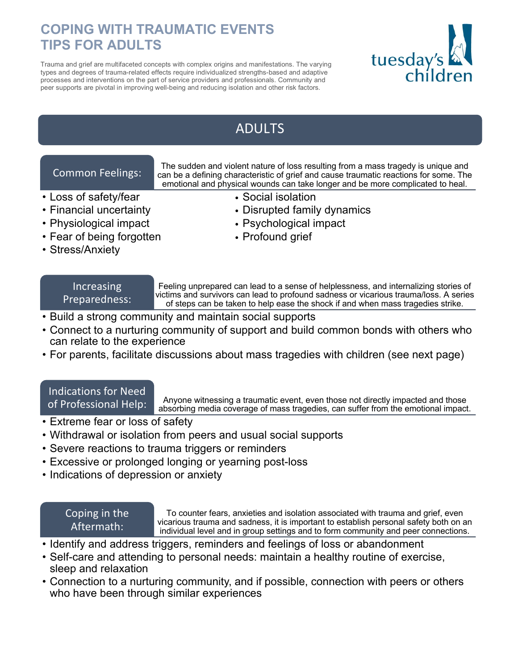## **COPING WITH TRAUMATIC EVENTS TIPS FOR ADULTS**

Trauma and grief are multifaceted concepts with complex origins and manifestations. The varying types and degrees of trauma-related effects require individualized strengths-based and adaptive processes and interventions on the part of service providers and professionals. Community and peer supports are pivotal in improving well-being and reducing isolation and other risk factors.



# ADULTS

## Common Feelings:

- Loss of safety/fear Social isolation
- 
- 
- Fear of being forgotten Profound grief
- Stress/Anxiety

# Increasing

Preparedness:

Feeling unprepared can lead to a sense of helplessness, and internalizing stories of victims and survivors can lead to profound sadness or vicarious trauma/loss. A series of steps can be taken to help ease the shock if and when mass tragedies strike.

- Build a strong community and maintain social supports
- Connect to a nurturing community of support and build common bonds with others who can relate to the experience
- For parents, facilitate discussions about mass tragedies with children (see next page)

#### Indications for Need of Professional Help:

Anyone witnessing a traumatic event, even those not directly impacted and those absorbing media coverage of mass tragedies, can suffer from the emotional impact.

- Extreme fear or loss of safety
- Withdrawal or isolation from peers and usual social supports
- Severe reactions to trauma triggers or reminders
- Excessive or prolonged longing or yearning post-loss
- Indications of depression or anxiety

### Coping in the Aftermath:

To counter fears, anxieties and isolation associated with trauma and grief, even vicarious trauma and sadness, it is important to establish personal safety both on an individual level and in group settings and to form community and peer connections.

- Identify and address triggers, reminders and feelings of loss or abandonment
- Self-care and attending to personal needs: maintain a healthy routine of exercise, sleep and relaxation
- Connection to a nurturing community, and if possible, connection with peers or others who have been through similar experiences
- emotional and physical wounds can take longer and be more complicated to heal.
- Financial uncertainty Disrupted family dynamics

The sudden and violent nature of loss resulting from a mass tragedy is unique and can be a defining characteristic of grief and cause traumatic reactions for some. The

- Physiological impact Psychological impact
	-